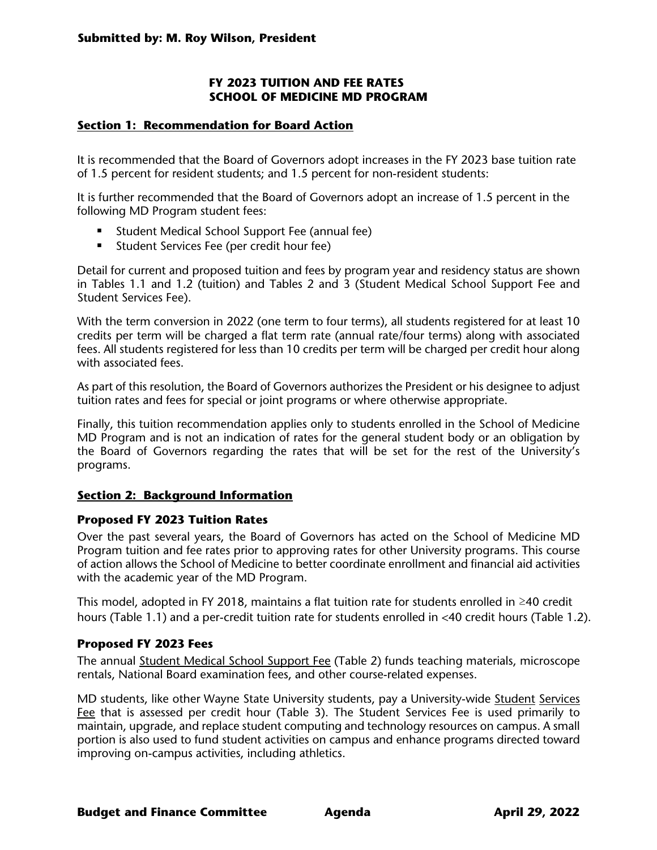### **FY 2023 TUITION AND FEE RATES SCHOOL OF MEDICINE MD PROGRAM**

#### **Section 1: Recommendation for Board Action**

It is recommended that the Board of Governors adopt increases in the FY 2023 base tuition rate of 1.5 percent for resident students; and 1.5 percent for non-resident students:

It is further recommended that the Board of Governors adopt an increase of 1.5 percent in the following MD Program student fees:

- **Student Medical School Support Fee (annual fee)**
- **Student Services Fee (per credit hour fee)**

Detail for current and proposed tuition and fees by program year and residency status are shown in Tables 1.1 and 1.2 (tuition) and Tables 2 and 3 (Student Medical School Support Fee and Student Services Fee).

With the term conversion in 2022 (one term to four terms), all students registered for at least 10 credits per term will be charged a flat term rate (annual rate/four terms) along with associated fees. All students registered for less than 10 credits per term will be charged per credit hour along with associated fees.

As part of this resolution, the Board of Governors authorizes the President or his designee to adjust tuition rates and fees for special or joint programs or where otherwise appropriate.

Finally, this tuition recommendation applies only to students enrolled in the School of Medicine MD Program and is not an indication of rates for the general student body or an obligation by the Board of Governors regarding the rates that will be set for the rest of the University's programs.

#### **Section 2: Background Information**

#### **Proposed FY 2023 Tuition Rates**

Over the past several years, the Board of Governors has acted on the School of Medicine MD Program tuition and fee rates prior to approving rates for other University programs. This course of action allows the School of Medicine to better coordinate enrollment and financial aid activities with the academic year of the MD Program.

This model, adopted in FY 2018, maintains a flat tuition rate for students enrolled in ≥40 credit hours (Table 1.1) and a per-credit tuition rate for students enrolled in <40 credit hours (Table 1.2).

#### **Proposed FY 2023 Fees**

The annual Student Medical School Support Fee (Table 2) funds teaching materials, microscope rentals, National Board examination fees, and other course-related expenses.

MD students, like other Wayne State University students, pay a University-wide Student Services Fee that is assessed per credit hour (Table 3). The Student Services Fee is used primarily to maintain, upgrade, and replace student computing and technology resources on campus. A small portion is also used to fund student activities on campus and enhance programs directed toward improving on-campus activities, including athletics.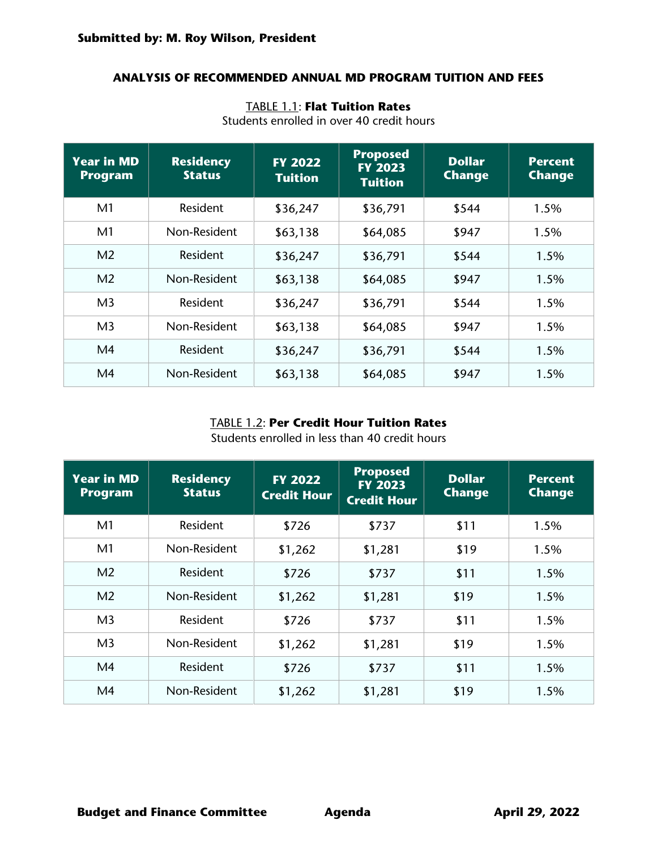#### **ANALYSIS OF RECOMMENDED ANNUAL MD PROGRAM TUITION AND FEES**

### TABLE 1.1: **Flat Tuition Rates**

| <b>Year in MD</b><br><b>Program</b> | <b>Residency</b><br><b>Status</b> | <b>FY 2022</b><br><b>Tuition</b> | <b>Proposed</b><br><b>FY 2023</b><br><b>Tuition</b> | <b>Dollar</b><br><b>Change</b> | <b>Percent</b><br><b>Change</b> |
|-------------------------------------|-----------------------------------|----------------------------------|-----------------------------------------------------|--------------------------------|---------------------------------|
| M <sub>1</sub>                      | Resident                          | \$36,247                         | \$36,791                                            | \$544                          | 1.5%                            |
| M <sub>1</sub>                      | Non-Resident                      | \$63,138                         | \$64,085                                            | \$947                          | 1.5%                            |
| M <sub>2</sub>                      | Resident                          | \$36,247                         | \$36,791                                            | \$544                          | 1.5%                            |
| M <sub>2</sub>                      | Non-Resident                      | \$63,138                         | \$64,085                                            | \$947                          | 1.5%                            |
| M <sub>3</sub>                      | <b>Resident</b>                   | \$36,247                         | \$36,791                                            | \$544                          | 1.5%                            |
| M <sub>3</sub>                      | Non-Resident                      | \$63,138                         | \$64,085                                            | \$947                          | $1.5\%$                         |
| M <sub>4</sub>                      | Resident                          | \$36,247                         | \$36,791                                            | \$544                          | 1.5%                            |
| M <sub>4</sub>                      | Non-Resident                      | \$63,138                         | \$64,085                                            | \$947                          | 1.5%                            |

Students enrolled in over 40 credit hours

## TABLE 1.2: **Per Credit Hour Tuition Rates**

Students enrolled in less than 40 credit hours

| <b>Year in MD</b><br><b>Program</b> | <b>Residency</b><br><b>Status</b> | <b>FY 2022</b><br><b>Credit Hour</b> | <b>Proposed</b><br><b>FY 2023</b><br><b>Credit Hour</b> | <b>Dollar</b><br><b>Change</b> | <b>Percent</b><br><b>Change</b> |
|-------------------------------------|-----------------------------------|--------------------------------------|---------------------------------------------------------|--------------------------------|---------------------------------|
| M <sub>1</sub>                      | <b>Resident</b>                   | \$726                                | \$737                                                   | \$11                           | 1.5%                            |
| M <sub>1</sub>                      | Non-Resident                      | \$1,262                              | \$1,281                                                 | \$19                           | 1.5%                            |
| M <sub>2</sub>                      | <b>Resident</b>                   | \$726                                | \$737                                                   | \$11                           | 1.5%                            |
| M <sub>2</sub>                      | Non-Resident                      | \$1,262                              | \$1,281                                                 | \$19                           | 1.5%                            |
| M <sub>3</sub>                      | Resident                          | \$726                                | \$737                                                   | \$11                           | 1.5%                            |
| M <sub>3</sub>                      | Non-Resident                      | \$1,262                              | \$1,281                                                 | \$19                           | 1.5%                            |
| M <sub>4</sub>                      | Resident                          | \$726                                | \$737                                                   | \$11                           | 1.5%                            |
| M <sub>4</sub>                      | Non-Resident                      | \$1,262                              | \$1,281                                                 | \$19                           | 1.5%                            |